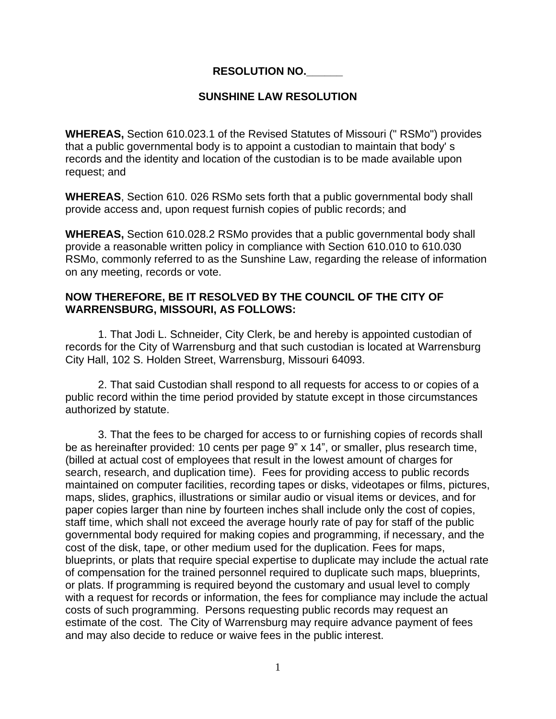## **RESOLUTION NO.\_\_\_\_\_\_**

## **SUNSHINE LAW RESOLUTION**

**WHEREAS,** Section 610.023.1 of the Revised Statutes of Missouri (" RSMo") provides that a public governmental body is to appoint a custodian to maintain that body' s records and the identity and location of the custodian is to be made available upon request; and

**WHEREAS**, Section 610. 026 RSMo sets forth that a public governmental body shall provide access and, upon request furnish copies of public records; and

**WHEREAS,** Section 610.028.2 RSMo provides that a public governmental body shall provide a reasonable written policy in compliance with Section 610.010 to 610.030 RSMo, commonly referred to as the Sunshine Law, regarding the release of information on any meeting, records or vote.

## **NOW THEREFORE, BE IT RESOLVED BY THE COUNCIL OF THE CITY OF WARRENSBURG, MISSOURI, AS FOLLOWS:**

1. That Jodi L. Schneider, City Clerk, be and hereby is appointed custodian of records for the City of Warrensburg and that such custodian is located at Warrensburg City Hall, 102 S. Holden Street, Warrensburg, Missouri 64093.

2. That said Custodian shall respond to all requests for access to or copies of a public record within the time period provided by statute except in those circumstances authorized by statute.

3. That the fees to be charged for access to or furnishing copies of records shall be as hereinafter provided: 10 cents per page 9" x 14", or smaller, plus research time, (billed at actual cost of employees that result in the lowest amount of charges for search, research, and duplication time). Fees for providing access to public records maintained on computer facilities, recording tapes or disks, videotapes or films, pictures, maps, slides, graphics, illustrations or similar audio or visual items or devices, and for paper copies larger than nine by fourteen inches shall include only the cost of copies, staff time, which shall not exceed the average hourly rate of pay for staff of the public governmental body required for making copies and programming, if necessary, and the cost of the disk, tape, or other medium used for the duplication. Fees for maps, blueprints, or plats that require special expertise to duplicate may include the actual rate of compensation for the trained personnel required to duplicate such maps, blueprints, or plats. If programming is required beyond the customary and usual level to comply with a request for records or information, the fees for compliance may include the actual costs of such programming. Persons requesting public records may request an estimate of the cost. The City of Warrensburg may require advance payment of fees and may also decide to reduce or waive fees in the public interest.